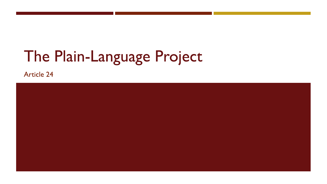# The Plain-Language Project

**Article 24** 

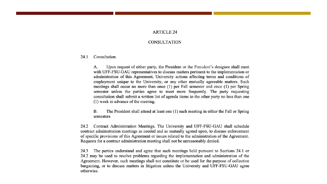### **ARTICLE 24**

#### **CONSULTATION**

24.1 Consultation.

> Upon request of either party, the President or the President's designee shall meet А. with UFF-FSU-GAU representatives to discuss matters pertinent to the implementation or administration of this Agreement, University actions affecting terms and conditions of employment unique to the University, or any other mutually agreeable matters. Such meetings shall occur no more than once (1) per Fall semester and once (1) per Spring semester unless the parties agree to meet more frequently. The party requesting consultation shall submit a written list of agenda items to the other party no less than one (1) week in advance of the meeting.

> $B.$ The President shall attend at least one (1) such meeting in either the Fall or Spring semesters

Contract Administration Meetings. The University and UFF-FSU-GAU shall schedule 24.2 contract administration meetings as needed and as mutually agreed upon, to discuss enforcement of specific provisions of this Agreement or issues related to the administration of the Agreement. Requests for a contract administration meeting shall not be unreasonably denied.

The parties understand and agree that such meetings held pursuant to Sections 24.1 or 24.3 24.2 may be used to resolve problems regarding the implementation and administration of the Agreement. However, such meetings shall not constitute or be used for the purpose of collective bargaining, or to discuss matters in litigation unless the University and UFF-FSU-GAU agree otherwise.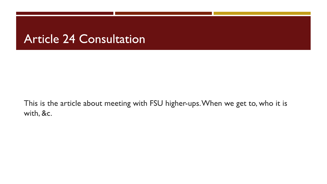### **Article 24 Consultation**

This is the article about meeting with FSU higher-ups. When we get to, who it is with, &c.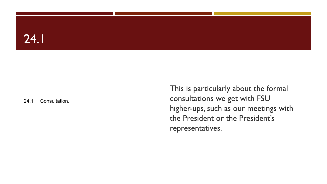### $24.1$

### 24.1 Consultation.

This is particularly about the formal consultations we get with FSU higher-ups, such as our meetings with the President or the President's representatives.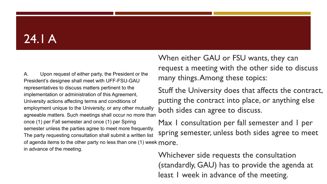# $24.1A$

A. Upon request of either party, the President or the President's designee shall meet with UFF-FSU-GAU representatives to discuss matters pertinent to the implementation or administration of this Agreement, University actions affecting terms and conditions of employment unique to the University, or any other mutually employment unique to the University, or any other mutually both sides can agree to discuss.<br>agreeable matters. Such meetings shall occur no more than once (1) per Fall semester and once (1) per Spring semester unless the parties agree to meet more frequently. The party requesting consultation shall submit a written list of agenda items to the other party no less than one (1) week more. in advance of the meeting.

When either GAU or FSU wants, they can request a meeting with the other side to discuss many things. Among these topics:

Stuff the University does that affects the contract, putting the contract into place, or anything else

Max I consultation per fall semester and I per spring semester, unless both sides agree to meet

Whichever side requests the consultation (standardly, GAU) has to provide the agenda at least I week in advance of the meeting.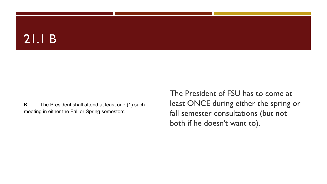### $21.1B$

B. The President shall attend at least one (1) such meeting in either the Fall or Spring semesters

The President of FSU has to come at least ONCE during either the spring or fall semester consultations (but not both if he doesn't want to).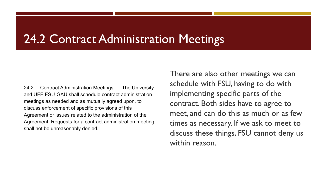### 24.2 Contract Administration Meetings

24.2 Contract Administration Meetings. The University and UFF-FSU-GAU shall schedule contract administration meetings as needed and as mutually agreed upon, to discuss enforcement of specific provisions of this Agreement or issues related to the administration of the Agreement. Requests for a contract administration meeting shall not be unreasonably denied.

There are also other meetings we can schedule with FSU, having to do with implementing specific parts of the contract. Both sides have to agree to meet, and can do this as much or as few times as necessary. If we ask to meet to discuss these things, FSU cannot deny us within reason.